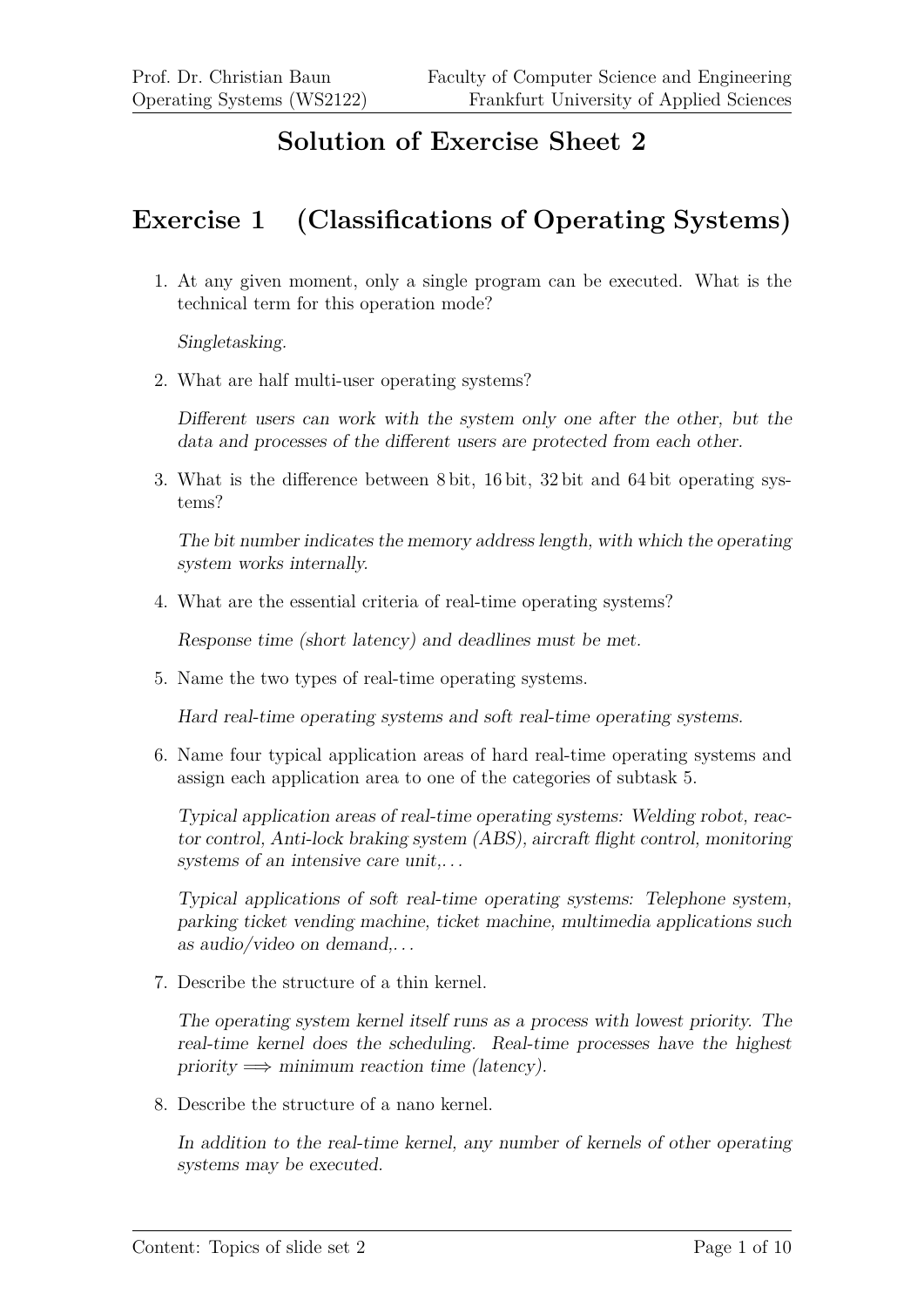# **Solution of Exercise Sheet 2**

# **Exercise 1 (Classifications of Operating Systems)**

1. At any given moment, only a single program can be executed. What is the technical term for this operation mode?

Singletasking.

2. What are half multi-user operating systems?

Different users can work with the system only one after the other, but the data and processes of the different users are protected from each other.

3. What is the difference between 8 bit, 16 bit, 32 bit and 64 bit operating systems?

The bit number indicates the memory address length, with which the operating system works internally.

4. What are the essential criteria of real-time operating systems?

Response time (short latency) and deadlines must be met.

5. Name the two types of real-time operating systems.

Hard real-time operating systems and soft real-time operating systems.

6. Name four typical application areas of hard real-time operating systems and assign each application area to one of the categories of subtask 5.

Typical application areas of real-time operating systems: Welding robot, reactor control, Anti-lock braking system (ABS), aircraft flight control, monitoring systems of an intensive care unit,...

Typical applications of soft real-time operating systems: Telephone system, parking ticket vending machine, ticket machine, multimedia applications such as audio/video on demand,. . .

7. Describe the structure of a thin kernel.

The operating system kernel itself runs as a process with lowest priority. The real-time kernel does the scheduling. Real-time processes have the highest priority  $\implies$  minimum reaction time (latency).

8. Describe the structure of a nano kernel.

In addition to the real-time kernel, any number of kernels of other operating systems may be executed.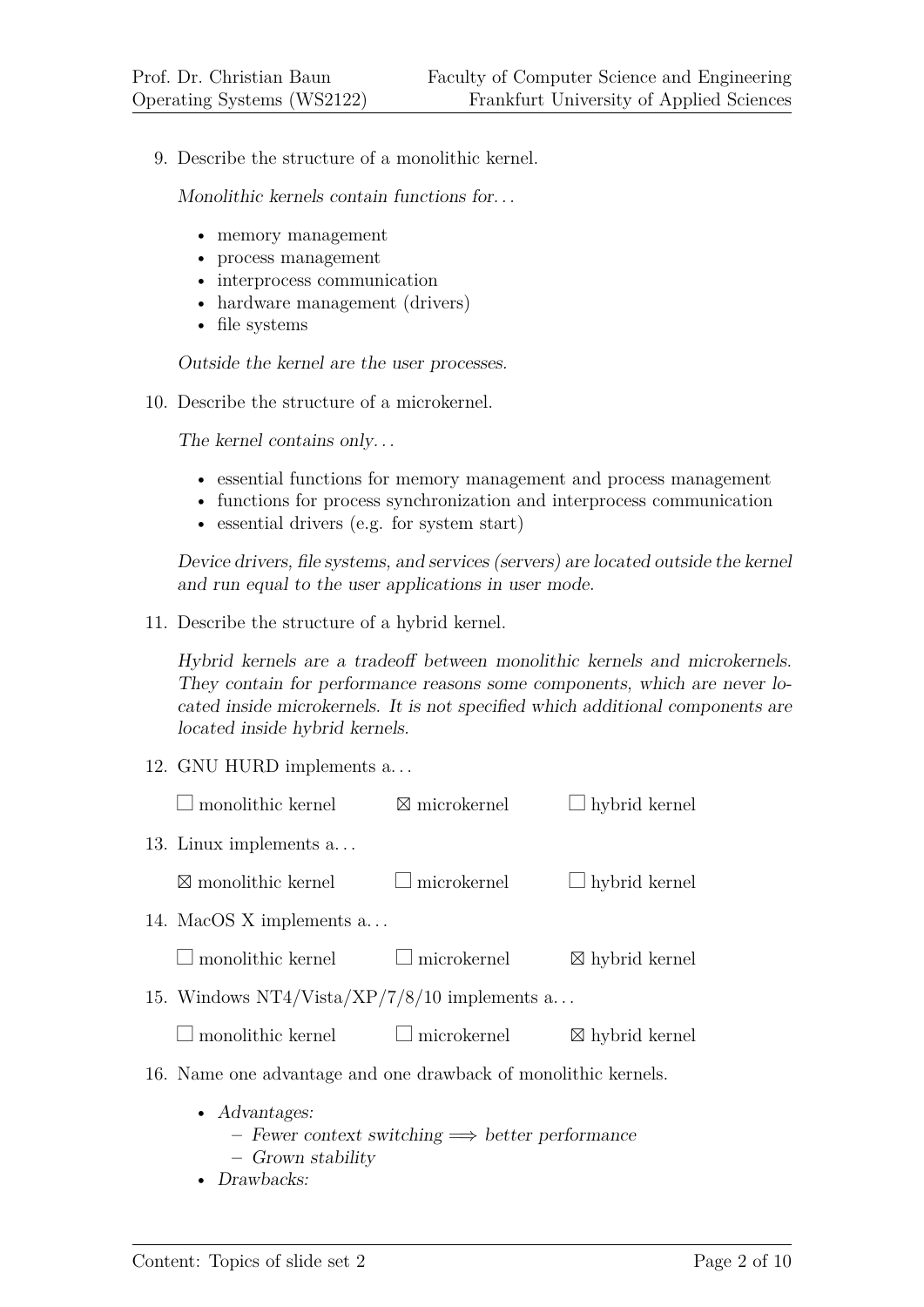9. Describe the structure of a monolithic kernel.

Monolithic kernels contain functions for. . .

- memory management
- process management
- interprocess communication
- hardware management (drivers)
- file systems

Outside the kernel are the user processes.

10. Describe the structure of a microkernel.

The kernel contains only...

- essential functions for memory management and process management
- functions for process synchronization and interprocess communication
- essential drivers (e.g. for system start)

Device drivers, file systems, and services (servers) are located outside the kernel and run equal to the user applications in user mode.

11. Describe the structure of a hybrid kernel.

Hybrid kernels are a tradeoff between monolithic kernels and microkernels. They contain for performance reasons some components, which are never located inside microkernels. It is not specified which additional components are located inside hybrid kernels.

12. GNU HURD implements a. . .

| monolithic kernel                                              | $\boxtimes$ microkernel                                 | $\Box$ hybrid kernel      |
|----------------------------------------------------------------|---------------------------------------------------------|---------------------------|
| 13. Linux implements a                                         |                                                         |                           |
| $\boxtimes$ monolithic kernel                                  | $\Box$ microkernel                                      | $\Box$ hybrid kernel      |
| 14. MacOS X implements a                                       |                                                         |                           |
| $\Box$ monolithic kernel                                       | $\Box$ microkernel                                      | $\boxtimes$ hybrid kernel |
| 15. Windows NT4/Vista/XP/7/8/10 implements $a$                 |                                                         |                           |
| $\Box$ monolithic kernel $\Box$ microkernel                    |                                                         | $\boxtimes$ hybrid kernel |
| 16. Name one advantage and one drawback of monolithic kernels. |                                                         |                           |
| $\bullet$ Advantages:<br>- Grown stability                     | - Fewer context switching $\implies$ better performance |                           |

• Drawbacks: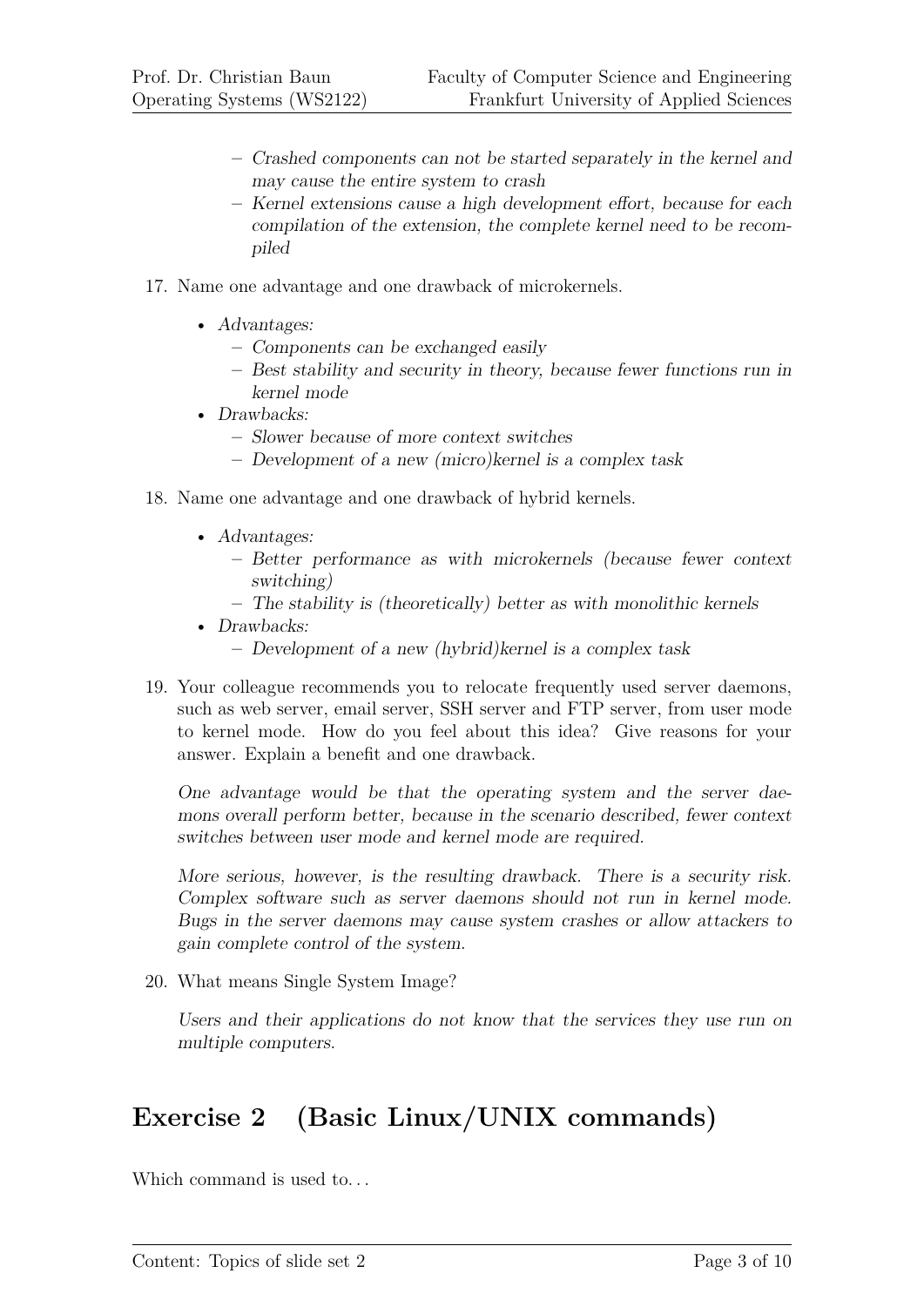- **–** Crashed components can not be started separately in the kernel and may cause the entire system to crash
- **–** Kernel extensions cause a high development effort, because for each compilation of the extension, the complete kernel need to be recompiled
- 17. Name one advantage and one drawback of microkernels.
	- Advantages:
		- **–** Components can be exchanged easily
		- **–** Best stability and security in theory, because fewer functions run in kernel mode
	- Drawbacks:
		- **–** Slower because of more context switches
		- **–** Development of a new (micro)kernel is a complex task
- 18. Name one advantage and one drawback of hybrid kernels.
	- Advantages:
		- **–** Better performance as with microkernels (because fewer context switching)
		- **–** The stability is (theoretically) better as with monolithic kernels
	- Drawbacks:
		- **–** Development of a new (hybrid)kernel is a complex task
- 19. Your colleague recommends you to relocate frequently used server daemons, such as web server, email server, SSH server and FTP server, from user mode to kernel mode. How do you feel about this idea? Give reasons for your answer. Explain a benefit and one drawback.

One advantage would be that the operating system and the server daemons overall perform better, because in the scenario described, fewer context switches between user mode and kernel mode are required.

More serious, however, is the resulting drawback. There is a security risk. Complex software such as server daemons should not run in kernel mode. Bugs in the server daemons may cause system crashes or allow attackers to gain complete control of the system.

20. What means Single System Image?

Users and their applications do not know that the services they use run on multiple computers.

# **Exercise 2 (Basic Linux/UNIX commands)**

Which command is used to...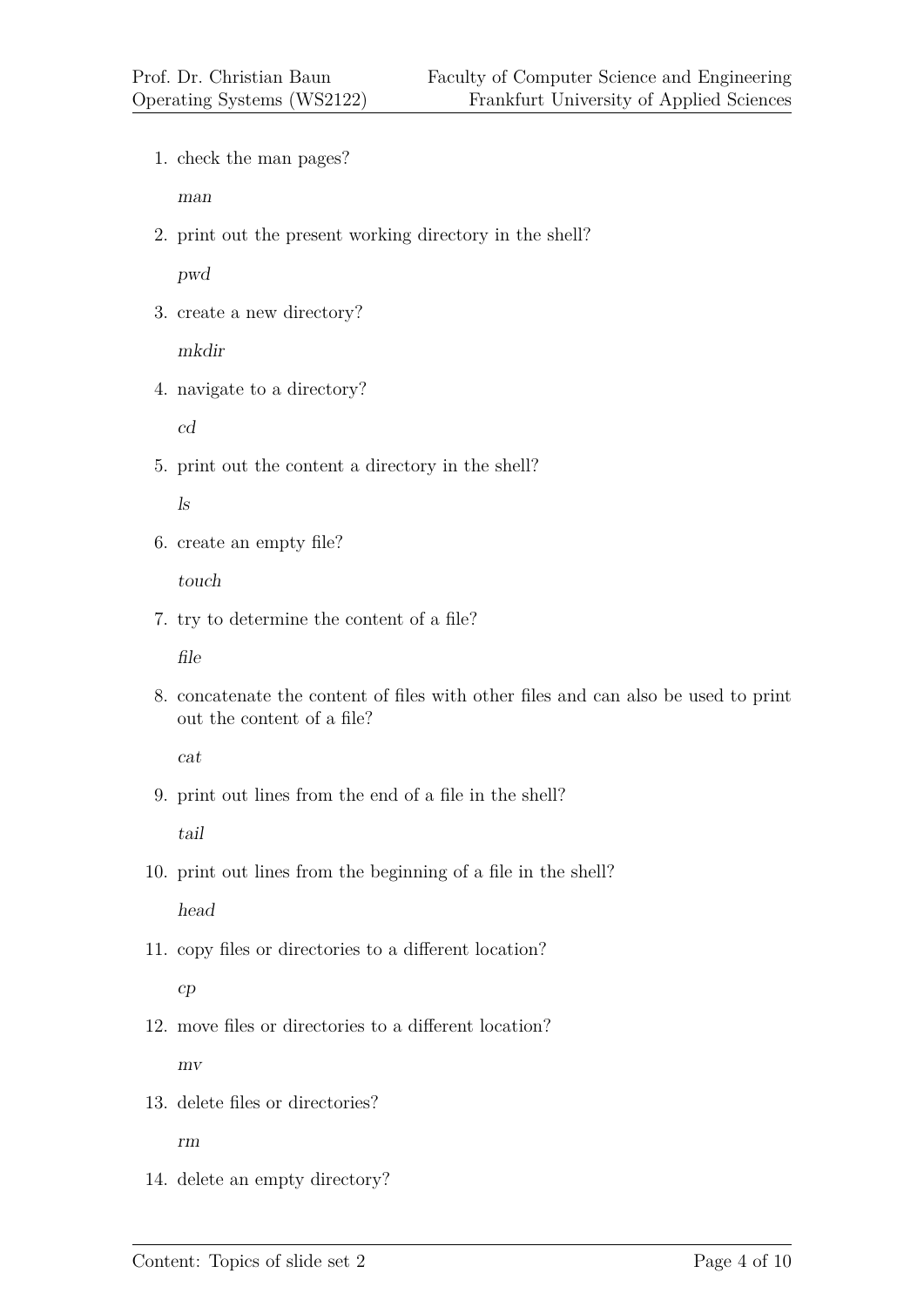1. check the man pages?

man

2. print out the present working directory in the shell?

pwd

3. create a new directory?

mkdir

4. navigate to a directory?

cd

5. print out the content a directory in the shell?

ls

6. create an empty file?

touch

7. try to determine the content of a file?

file

8. concatenate the content of files with other files and can also be used to print out the content of a file?

cat

9. print out lines from the end of a file in the shell?

tail

10. print out lines from the beginning of a file in the shell?

head

11. copy files or directories to a different location?

# cp

- 12. move files or directories to a different location? mv
- 13. delete files or directories?

rm

14. delete an empty directory?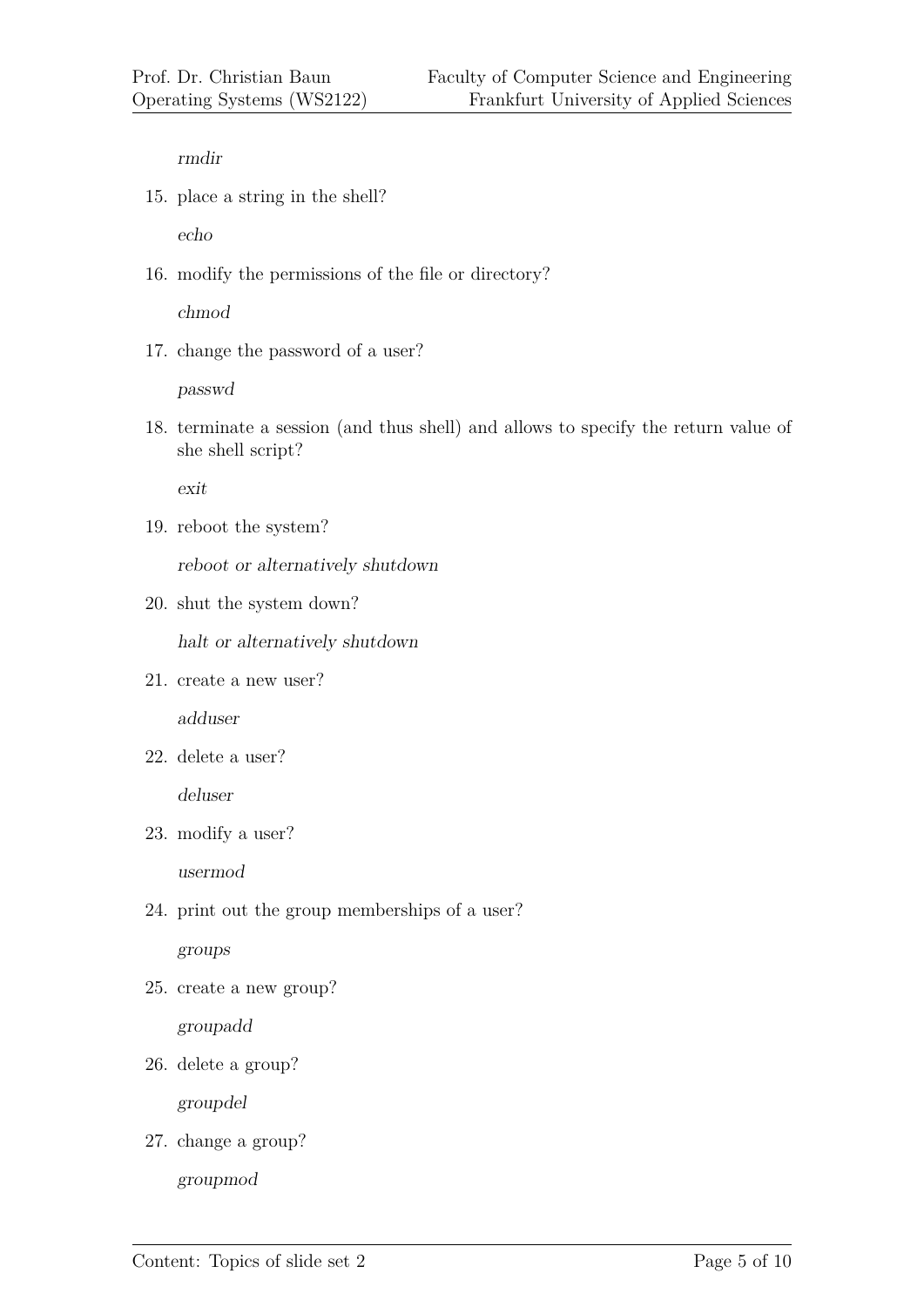rmdir

15. place a string in the shell?

echo

16. modify the permissions of the file or directory?

chmod

17. change the password of a user?

passwd

18. terminate a session (and thus shell) and allows to specify the return value of she shell script?

exit

19. reboot the system?

reboot or alternatively shutdown

20. shut the system down?

halt or alternatively shutdown

21. create a new user?

adduser

22. delete a user?

deluser

23. modify a user?

usermod

24. print out the group memberships of a user?

groups

25. create a new group?

groupadd

26. delete a group?

groupdel

27. change a group?

groupmod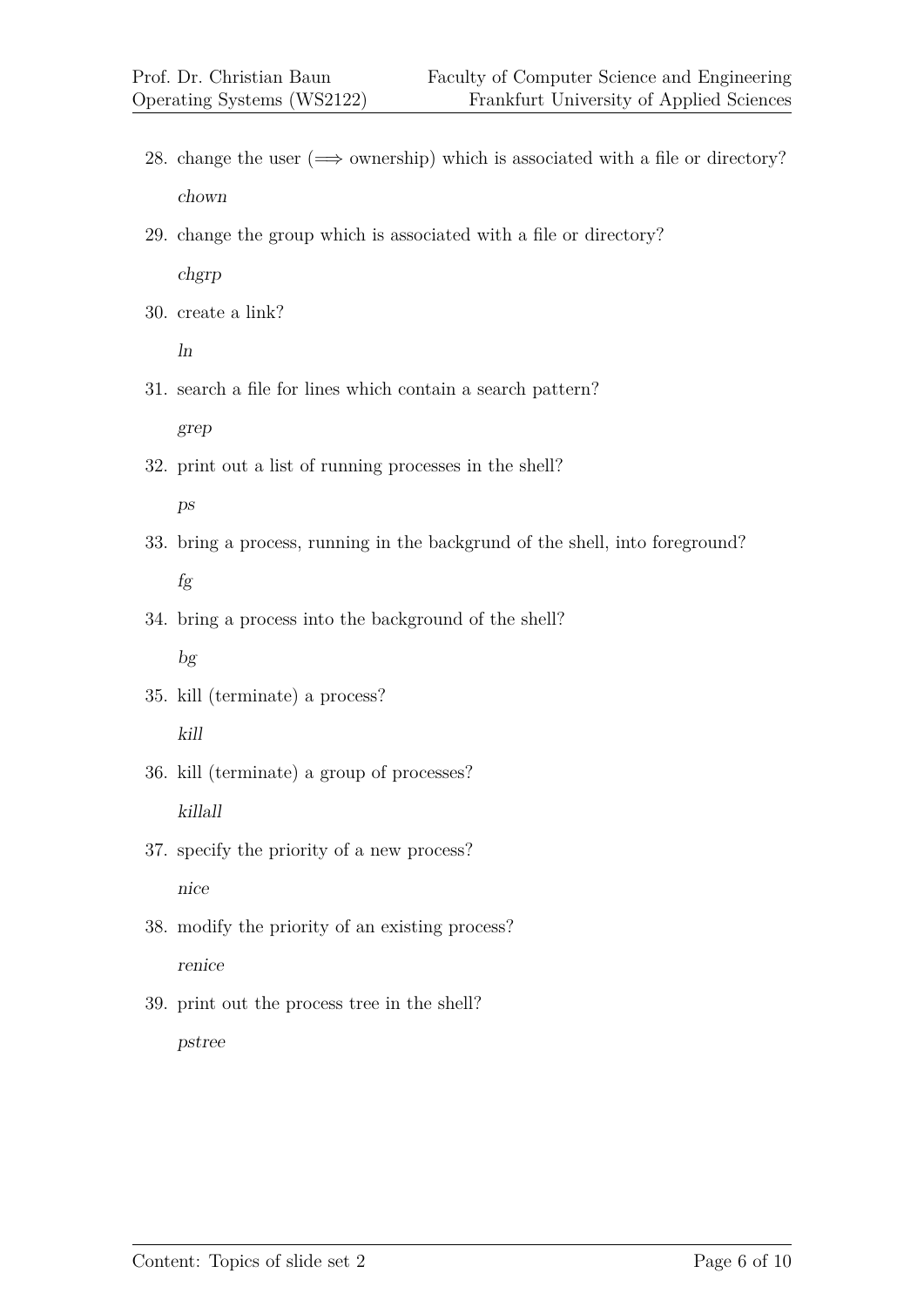- 28. change the user  $(\implies)$  ownership) which is associated with a file or directory? chown
- 29. change the group which is associated with a file or directory? chgrp
- 30. create a link?

ln

- 31. search a file for lines which contain a search pattern? grep
- 32. print out a list of running processes in the shell? ps
- 33. bring a process, running in the backgrund of the shell, into foreground? fg
- 34. bring a process into the background of the shell? bg
- 35. kill (terminate) a process? kill
- 36. kill (terminate) a group of processes? killall
- 37. specify the priority of a new process? nice
- 38. modify the priority of an existing process? renice
- 39. print out the process tree in the shell? pstree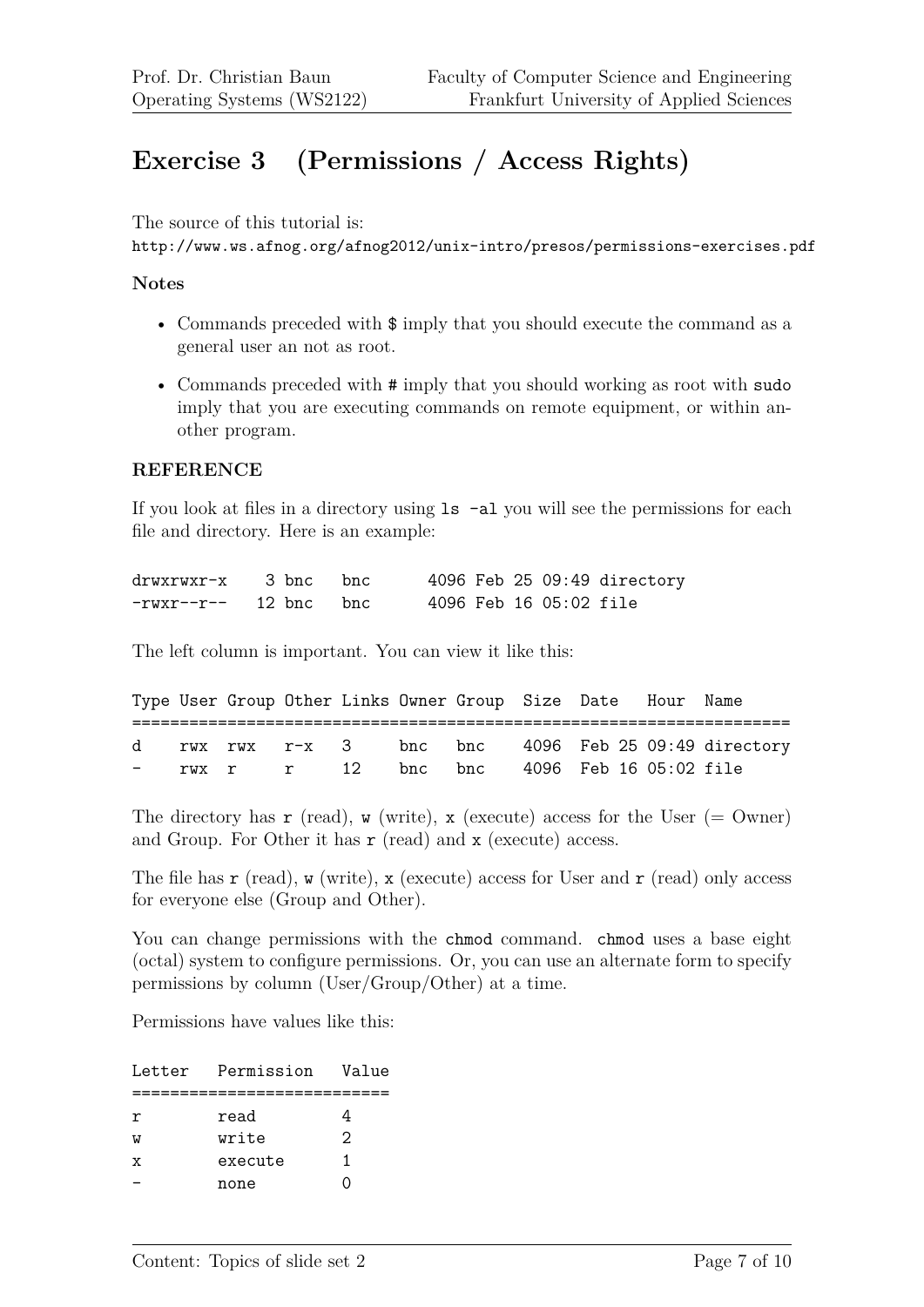# **Exercise 3 (Permissions / Access Rights)**

The source of this tutorial is:

```
http://www.ws.afnog.org/afnog2012/unix-intro/presos/permissions-exercises.pdf
```
#### **Notes**

- Commands preceded with \$ imply that you should execute the command as a general user an not as root.
- Commands preceded with  $\#$  imply that you should working as root with sudo imply that you are executing commands on remote equipment, or within another program.

#### **REFERENCE**

If you look at files in a directory using ls -al you will see the permissions for each file and directory. Here is an example:

| $drwxrwxr-x$ 3 bnc bnc |  |                        |  | 4096 Feb 25 09:49 directory |
|------------------------|--|------------------------|--|-----------------------------|
| $-rwxr-r--$ 12 bnc bnc |  | 4096 Feb 16 05:02 file |  |                             |

The left column is important. You can view it like this:

|  |  |  | Type User Group Other Links Owner Group Size Date Hour Name |  |                                                     |
|--|--|--|-------------------------------------------------------------|--|-----------------------------------------------------|
|  |  |  | - rwx r r 12 bnc bnc 4096 Feb 16 05:02 file                 |  | d rwx rwx r-x 3 bnc bnc 4096 Feb 25 09:49 directory |

The directory has  $\mathbf r$  (read),  $\mathbf w$  (write),  $\mathbf x$  (execute) access for the User (= Owner) and Group. For Other it has r (read) and x (execute) access.

The file has  $\mathbf r$  (read),  $\mathbf w$  (write),  $\mathbf x$  (execute) access for User and  $\mathbf r$  (read) only access for everyone else (Group and Other).

You can change permissions with the chmod command. chmod uses a base eight (octal) system to configure permissions. Or, you can use an alternate form to specify permissions by column (User/Group/Other) at a time.

Permissions have values like this:

| Letter | Permission | Value |
|--------|------------|-------|
|        |            |       |
| r      | read       |       |
| W      | write      | 2     |
| x      | execute    | 1     |
|        | none       |       |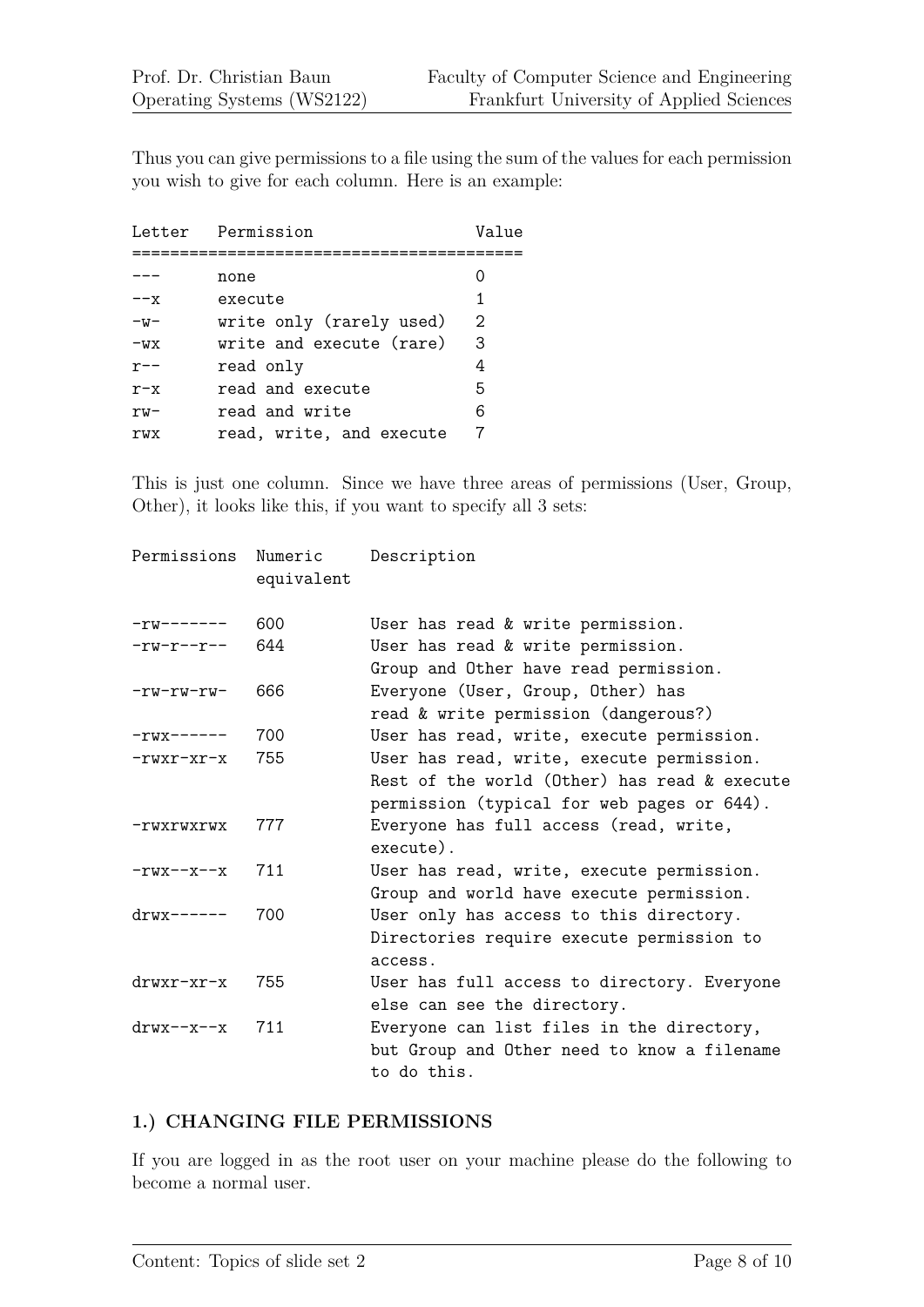Thus you can give permissions to a file using the sum of the values for each permission you wish to give for each column. Here is an example:

| Letter  | Permission               | Value |
|---------|--------------------------|-------|
|         |                          |       |
|         | none                     |       |
| $- -x$  | execute                  | 1     |
| $-w-$   | write only (rarely used) | 2     |
| $-WX$   | write and execute (rare) | 3     |
| $r$ --  | read only                | 4     |
| $r - x$ | read and execute         | 5     |
| $rw-$   | read and write           | 6     |
| rwx     | read, write, and execute |       |

This is just one column. Since we have three areas of permissions (User, Group, Other), it looks like this, if you want to specify all 3 sets:

| Permissions             | Numeric<br>equivalent | Description                                                                                                                             |
|-------------------------|-----------------------|-----------------------------------------------------------------------------------------------------------------------------------------|
| $-rw-----$              | 600                   | User has read & write permission.                                                                                                       |
| $-rw-r--r--$            | 644                   | User has read & write permission.<br>Group and Other have read permission.                                                              |
| $-rw-rw-rw-$            | 666                   | Everyone (User, Group, Other) has<br>read & write permission (dangerous?)                                                               |
| $-rwx---$               | 700                   | User has read, write, execute permission.                                                                                               |
| $-rwxr-xr-x$            | 755                   | User has read, write, execute permission.<br>Rest of the world (Other) has read & execute<br>permission (typical for web pages or 644). |
| -rwxrwxrwx              | 777                   | Everyone has full access (read, write,<br>execute).                                                                                     |
| $-rwx-r-r-x$            | 711                   | User has read, write, execute permission.<br>Group and world have execute permission.                                                   |
| $\text{drwx}\text{---}$ | 700                   | User only has access to this directory.<br>Directories require execute permission to<br>access.                                         |
| $drwxr-xr-x$            | 755                   | User has full access to directory. Everyone<br>else can see the directory.                                                              |
| $\text{drw}$ x--x--x    | 711                   | Everyone can list files in the directory,<br>but Group and Other need to know a filename<br>to do this.                                 |

# **1.) CHANGING FILE PERMISSIONS**

If you are logged in as the root user on your machine please do the following to become a normal user.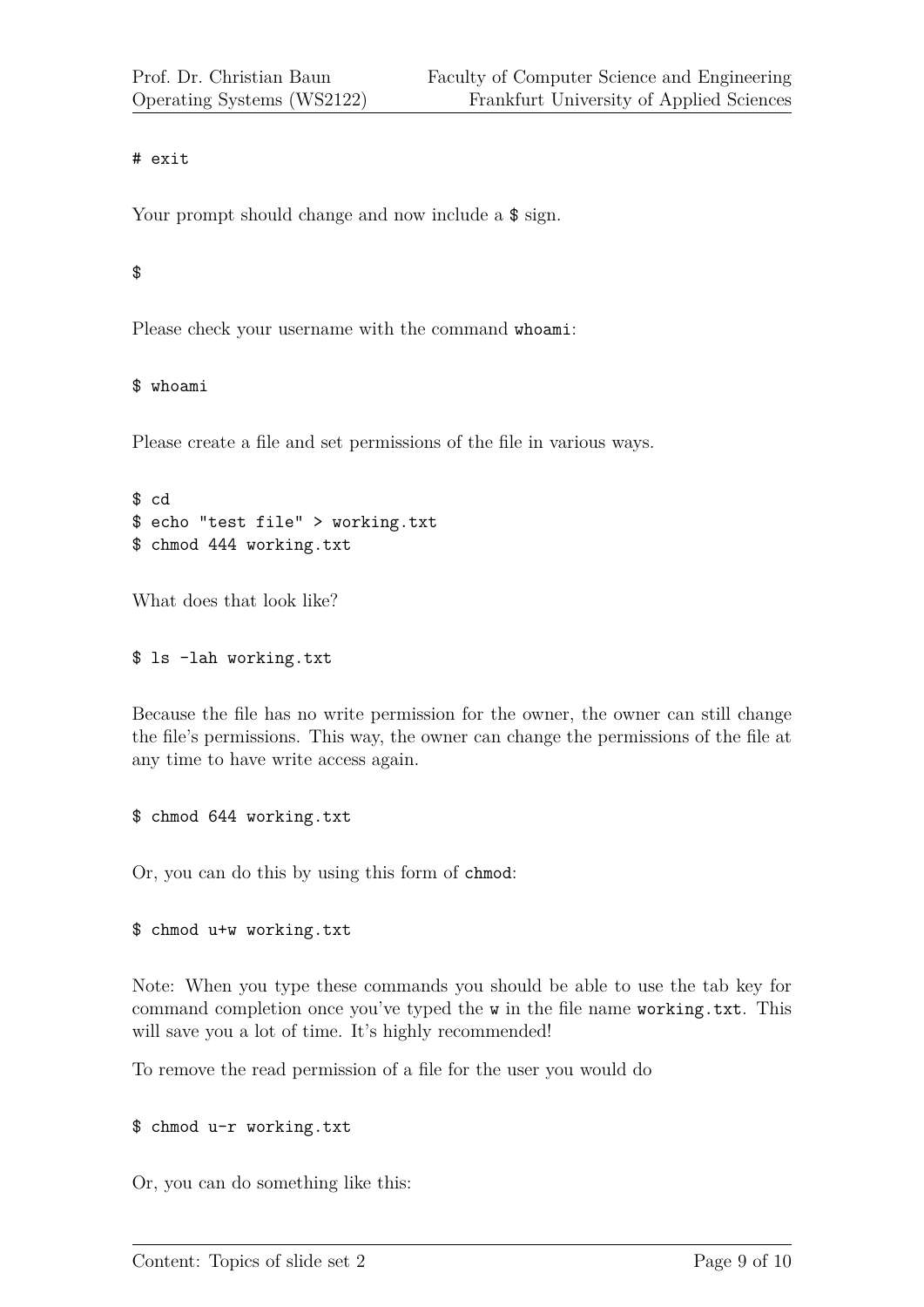### # exit

Your prompt should change and now include a  $\frac{1}{2}$  sign.

# \$

Please check your username with the command whoami:

### \$ whoami

Please create a file and set permissions of the file in various ways.

```
$ cd
$ echo "test file" > working.txt
$ chmod 444 working.txt
```
What does that look like?

#### \$ ls -lah working.txt

Because the file has no write permission for the owner, the owner can still change the file's permissions. This way, the owner can change the permissions of the file at any time to have write access again.

#### \$ chmod 644 working.txt

Or, you can do this by using this form of chmod:

# \$ chmod u+w working.txt

Note: When you type these commands you should be able to use the tab key for command completion once you've typed the w in the file name working.txt. This will save you a lot of time. It's highly recommended!

To remove the read permission of a file for the user you would do

\$ chmod u-r working.txt

Or, you can do something like this: